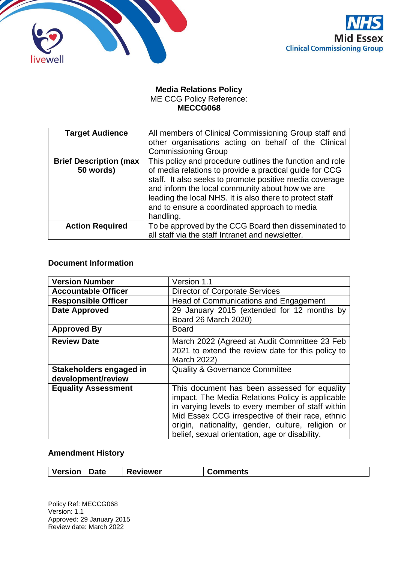



## **Media Relations Policy** ME CCG Policy Reference: **MECCG068**

| <b>Target Audience</b>        | All members of Clinical Commissioning Group staff and<br>other organisations acting on behalf of the Clinical                                                                                                                                                                                   |
|-------------------------------|-------------------------------------------------------------------------------------------------------------------------------------------------------------------------------------------------------------------------------------------------------------------------------------------------|
|                               | <b>Commissioning Group</b>                                                                                                                                                                                                                                                                      |
| <b>Brief Description (max</b> | This policy and procedure outlines the function and role                                                                                                                                                                                                                                        |
| 50 words)                     | of media relations to provide a practical guide for CCG<br>staff. It also seeks to promote positive media coverage<br>and inform the local community about how we are<br>leading the local NHS. It is also there to protect staff<br>and to ensure a coordinated approach to media<br>handling. |
| <b>Action Required</b>        | To be approved by the CCG Board then disseminated to<br>all staff via the staff Intranet and newsletter.                                                                                                                                                                                        |

## **Document Information**

| <b>Version Number</b>                         | Version 1.1                                                                                                                                                                                                                                                                                                      |
|-----------------------------------------------|------------------------------------------------------------------------------------------------------------------------------------------------------------------------------------------------------------------------------------------------------------------------------------------------------------------|
| <b>Accountable Officer</b>                    | <b>Director of Corporate Services</b>                                                                                                                                                                                                                                                                            |
| <b>Responsible Officer</b>                    | Head of Communications and Engagement                                                                                                                                                                                                                                                                            |
| <b>Date Approved</b>                          | 29 January 2015 (extended for 12 months by<br>Board 26 March 2020)                                                                                                                                                                                                                                               |
| <b>Approved By</b>                            | Board                                                                                                                                                                                                                                                                                                            |
| <b>Review Date</b>                            | March 2022 (Agreed at Audit Committee 23 Feb<br>2021 to extend the review date for this policy to<br>March 2022)                                                                                                                                                                                                 |
| Stakeholders engaged in<br>development/review | <b>Quality &amp; Governance Committee</b>                                                                                                                                                                                                                                                                        |
| <b>Equality Assessment</b>                    | This document has been assessed for equality<br>impact. The Media Relations Policy is applicable<br>in varying levels to every member of staff within<br>Mid Essex CCG irrespective of their race, ethnic<br>origin, nationality, gender, culture, religion or<br>belief, sexual orientation, age or disability. |

## **Amendment History**

| <b>Version</b><br><b>Date</b><br><b>Reviewer</b> | <b>Comments</b> |
|--------------------------------------------------|-----------------|
|--------------------------------------------------|-----------------|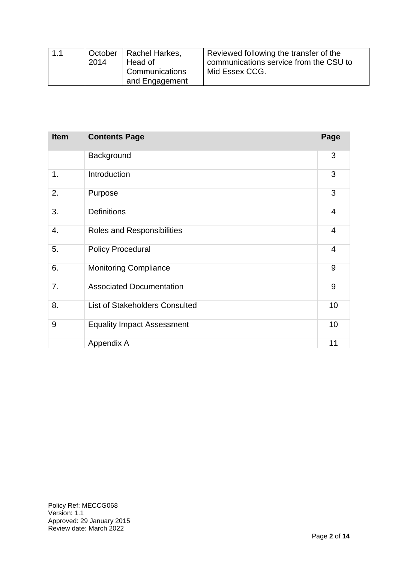| 1.1 | 2014 | October   Rachel Harkes,<br>Head of | Reviewed following the transfer of the<br>communications service from the CSU to |  |  |  |
|-----|------|-------------------------------------|----------------------------------------------------------------------------------|--|--|--|
|     |      | Communications                      | Mid Essex CCG.                                                                   |  |  |  |
|     |      | and Engagement                      |                                                                                  |  |  |  |

| <b>Item</b> | <b>Contents Page</b>                  | Page           |
|-------------|---------------------------------------|----------------|
|             | Background                            | 3              |
| 1.          | Introduction                          | 3              |
| 2.          | Purpose                               | 3              |
| 3.          | <b>Definitions</b>                    | 4              |
| 4.          | Roles and Responsibilities            | $\overline{4}$ |
| 5.          | <b>Policy Procedural</b>              | 4              |
| 6.          | <b>Monitoring Compliance</b>          | 9              |
| 7.          | <b>Associated Documentation</b>       | 9              |
| 8.          | <b>List of Stakeholders Consulted</b> | 10             |
| 9           | <b>Equality Impact Assessment</b>     | 10             |
|             | Appendix A                            | 11             |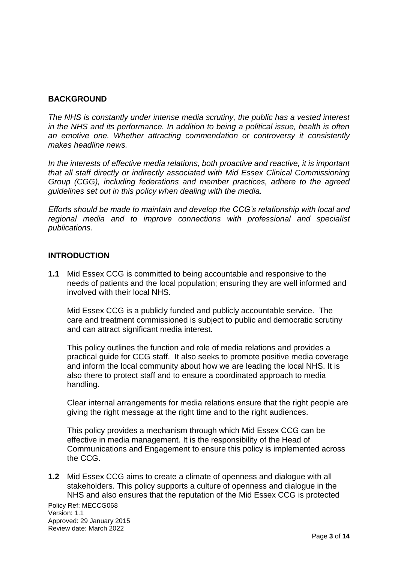## **BACKGROUND**

*The NHS is constantly under intense media scrutiny, the public has a vested interest in the NHS and its performance. In addition to being a political issue, health is often an emotive one. Whether attracting commendation or controversy it consistently makes headline news.*

*In the interests of effective media relations, both proactive and reactive, it is important that all staff directly or indirectly associated with Mid Essex Clinical Commissioning Group (CGG), including federations and member practices, adhere to the agreed guidelines set out in this policy when dealing with the media.*

*Efforts should be made to maintain and develop the CCG's relationship with local and regional media and to improve connections with professional and specialist publications.*

## **INTRODUCTION**

**1.1** Mid Essex CCG is committed to being accountable and responsive to the needs of patients and the local population; ensuring they are well informed and involved with their local NHS.

Mid Essex CCG is a publicly funded and publicly accountable service.The care and treatment commissioned is subject to public and democratic scrutiny and can attract significant media interest.

This policy outlines the function and role of media relations and provides a practical guide for CCG staff. It also seeks to promote positive media coverage and inform the local community about how we are leading the local NHS. It is also there to protect staff and to ensure a coordinated approach to media handling.

Clear internal arrangements for media relations ensure that the right people are giving the right message at the right time and to the right audiences.

This policy provides a mechanism through which Mid Essex CCG can be effective in media management. It is the responsibility of the Head of Communications and Engagement to ensure this policy is implemented across the CCG.

Policy Ref: MECCG068 **1.2** Mid Essex CCG aims to create a climate of openness and dialogue with all stakeholders. This policy supports a culture of openness and dialogue in the NHS and also ensures that the reputation of the Mid Essex CCG is protected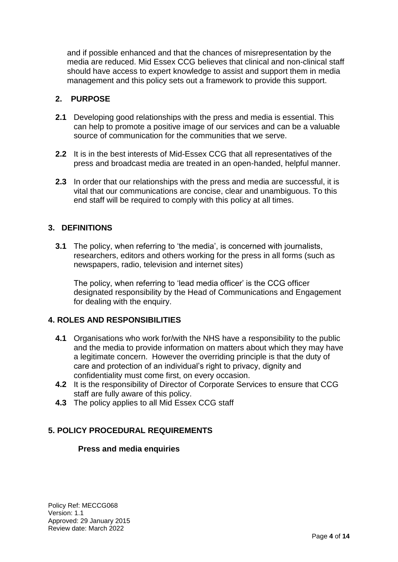and if possible enhanced and that the chances of misrepresentation by the media are reduced. Mid Essex CCG believes that clinical and non-clinical staff should have access to expert knowledge to assist and support them in media management and this policy sets out a framework to provide this support.

## **2. PURPOSE**

- **2.1** Developing good relationships with the press and media is essential. This can help to promote a positive image of our services and can be a valuable source of communication for the communities that we serve.
- **2.2** It is in the best interests of Mid-Essex CCG that all representatives of the press and broadcast media are treated in an open-handed, helpful manner.
- **2.3** In order that our relationships with the press and media are successful, it is vital that our communications are concise, clear and unambiguous. To this end staff will be required to comply with this policy at all times.

## **3. DEFINITIONS**

**3.1** The policy, when referring to 'the media', is concerned with journalists, researchers, editors and others working for the press in all forms (such as newspapers, radio, television and internet sites)

The policy, when referring to 'lead media officer' is the CCG officer designated responsibility by the Head of Communications and Engagement for dealing with the enquiry.

## **4. ROLES AND RESPONSIBILITIES**

- **4.1** Organisations who work for/with the NHS have a responsibility to the public and the media to provide information on matters about which they may have a legitimate concern. However the overriding principle is that the duty of care and protection of an individual's right to privacy, dignity and confidentiality must come first, on every occasion.
- **4.2** It is the responsibility of Director of Corporate Services to ensure that CCG staff are fully aware of this policy.
- **4.3** The policy applies to all Mid Essex CCG staff

## **5. POLICY PROCEDURAL REQUIREMENTS**

## **Press and media enquiries**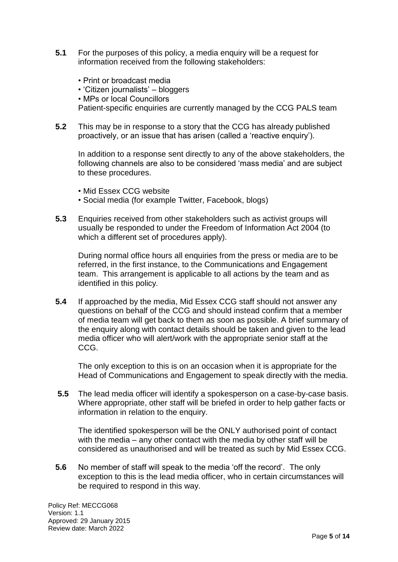- **5.1** For the purposes of this policy, a media enquiry will be a request for information received from the following stakeholders:
	- Print or broadcast media
	- 'Citizen journalists' bloggers
	- MPs or local Councillors

Patient-specific enquiries are currently managed by the CCG PALS team

**5.2** This may be in response to a story that the CCG has already published proactively, or an issue that has arisen (called a 'reactive enquiry').

In addition to a response sent directly to any of the above stakeholders, the following channels are also to be considered 'mass media' and are subject to these procedures.

- Mid Essex CCG website
- Social media (for example Twitter, Facebook, blogs)
- **5.3** Enquiries received from other stakeholders such as activist groups will usually be responded to under the Freedom of Information Act 2004 (to which a different set of procedures apply).

During normal office hours all enquiries from the press or media are to be referred, in the first instance, to the Communications and Engagement team. This arrangement is applicable to all actions by the team and as identified in this policy*.*

**5.4** If approached by the media, Mid Essex CCG staff should not answer any questions on behalf of the CCG and should instead confirm that a member of media team will get back to them as soon as possible. A brief summary of the enquiry along with contact details should be taken and given to the lead media officer who will alert/work with the appropriate senior staff at the CCG.

The only exception to this is on an occasion when it is appropriate for the Head of Communications and Engagement to speak directly with the media.

**5.5** The lead media officer will identify a spokesperson on a case-by-case basis. Where appropriate, other staff will be briefed in order to help gather facts or information in relation to the enquiry.

The identified spokesperson will be the ONLY authorised point of contact with the media – any other contact with the media by other staff will be considered as unauthorised and will be treated as such by Mid Essex CCG.

**5.6** No member of staff will speak to the media 'off the record'. The only exception to this is the lead media officer, who in certain circumstances will be required to respond in this way.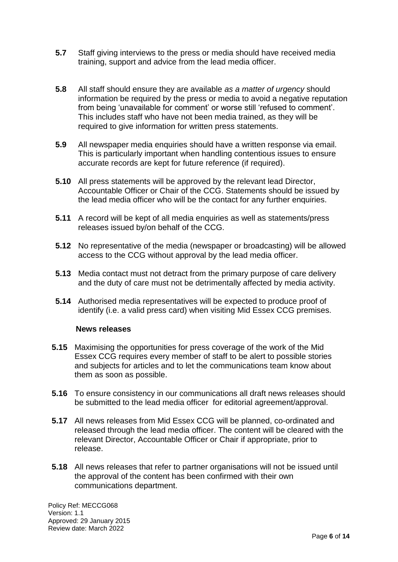- **5.7** Staff giving interviews to the press or media should have received media training, support and advice from the lead media officer.
- **5.8** All staff should ensure they are available *as a matter of urgency* should information be required by the press or media to avoid a negative reputation from being 'unavailable for comment' or worse still 'refused to comment'. This includes staff who have not been media trained, as they will be required to give information for written press statements.
- **5.9** All newspaper media enquiries should have a written response via email. This is particularly important when handling contentious issues to ensure accurate records are kept for future reference (if required).
- **5.10** All press statements will be approved by the relevant lead Director, Accountable Officer or Chair of the CCG. Statements should be issued by the lead media officer who will be the contact for any further enquiries.
- **5.11** A record will be kept of all media enquiries as well as statements/press releases issued by/on behalf of the CCG.
- **5.12** No representative of the media (newspaper or broadcasting) will be allowed access to the CCG without approval by the lead media officer.
- **5.13** Media contact must not detract from the primary purpose of care delivery and the duty of care must not be detrimentally affected by media activity.
- **5.14** Authorised media representatives will be expected to produce proof of identify (i.e. a valid press card) when visiting Mid Essex CCG premises.

#### **News releases**

- **5.15** Maximising the opportunities for press coverage of the work of the Mid Essex CCG requires every member of staff to be alert to possible stories and subjects for articles and to let the communications team know about them as soon as possible.
- **5.16** To ensure consistency in our communications all draft news releases should be submitted to the lead media officer for editorial agreement/approval.
- **5.17** All news releases from Mid Essex CCG will be planned, co-ordinated and released through the lead media officer. The content will be cleared with the relevant Director, Accountable Officer or Chair if appropriate, prior to release.
- **5.18** All news releases that refer to partner organisations will not be issued until the approval of the content has been confirmed with their own communications department.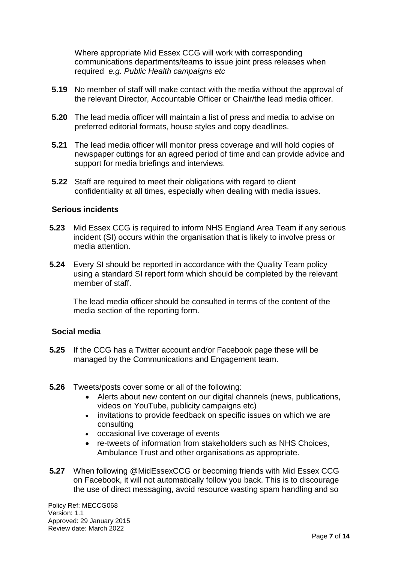Where appropriate Mid Essex CCG will work with corresponding communications departments/teams to issue joint press releases when required *e.g. Public Health campaigns etc*

- **5.19** No member of staff will make contact with the media without the approval of the relevant Director, Accountable Officer or Chair/the lead media officer.
- **5.20** The lead media officer will maintain a list of press and media to advise on preferred editorial formats, house styles and copy deadlines.
- **5.21** The lead media officer will monitor press coverage and will hold copies of newspaper cuttings for an agreed period of time and can provide advice and support for media briefings and interviews.
- **5.22** Staff are required to meet their obligations with regard to client confidentiality at all times, especially when dealing with media issues.

#### **Serious incidents**

- **5.23** Mid Essex CCG is required to inform NHS England Area Team if any serious incident (SI) occurs within the organisation that is likely to involve press or media attention.
- **5.24** Every SI should be reported in accordance with the Quality Team policy using a standard SI report form which should be completed by the relevant member of staff.

The lead media officer should be consulted in terms of the content of the media section of the reporting form.

#### **Social media**

- **5.25** If the CCG has a Twitter account and/or Facebook page these will be managed by the Communications and Engagement team.
- **5.26** Tweets/posts cover some or all of the following:
	- Alerts about new content on our digital channels (news, publications, videos on YouTube, publicity campaigns etc)
	- invitations to provide feedback on specific issues on which we are consulting
	- occasional live coverage of events
	- re-tweets of information from stakeholders such as NHS Choices, Ambulance Trust and other organisations as appropriate.
- **5.27** When following @MidEssexCCG or becoming friends with Mid Essex CCG on Facebook, it will not automatically follow you back. This is to discourage the use of direct messaging, avoid resource wasting spam handling and so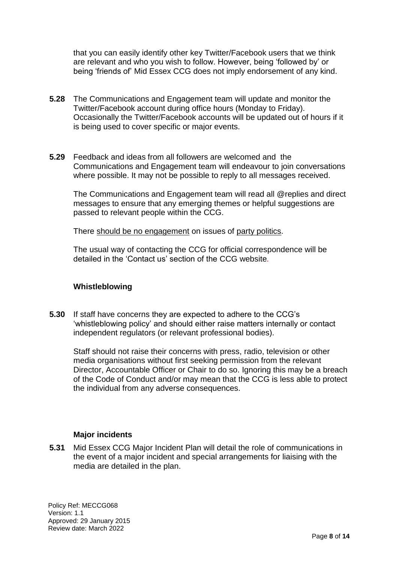that you can easily identify other key Twitter/Facebook users that we think are relevant and who you wish to follow. However, being 'followed by' or being 'friends of' Mid Essex CCG does not imply endorsement of any kind.

- **5.28** The Communications and Engagement team will update and monitor the Twitter/Facebook account during office hours (Monday to Friday). Occasionally the Twitter/Facebook accounts will be updated out of hours if it is being used to cover specific or major events.
- **5.29** Feedback and ideas from all followers are welcomed and the Communications and Engagement team will endeavour to join conversations where possible. It may not be possible to reply to all messages received.

The Communications and Engagement team will read all @replies and direct messages to ensure that any emerging themes or helpful suggestions are passed to relevant people within the CCG.

There should be no engagement on issues of party politics.

The usual way of contacting the CCG for official correspondence will be detailed in the 'Contact us' section of the CCG website*.*

## **Whistleblowing**

**5.30** If staff have concerns they are expected to adhere to the CCG's 'whistleblowing policy' and should either raise matters internally or contact independent regulators (or relevant professional bodies).

Staff should not raise their concerns with press, radio, television or other media organisations without first seeking permission from the relevant Director, Accountable Officer or Chair to do so. Ignoring this may be a breach of the Code of Conduct and/or may mean that the CCG is less able to protect the individual from any adverse consequences.

## **Major incidents**

**5.31** Mid Essex CCG Major Incident Plan will detail the role of communications in the event of a major incident and special arrangements for liaising with the media are detailed in the plan.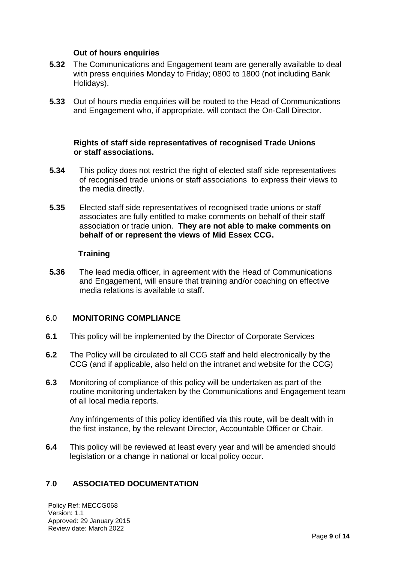## **Out of hours enquiries**

- **5.32** The Communications and Engagement team are generally available to deal with press enquiries Monday to Friday; 0800 to 1800 (not including Bank Holidays).
- **5.33** Out of hours media enquiries will be routed to the Head of Communications and Engagement who, if appropriate, will contact the On-Call Director.

## **Rights of staff side representatives of recognised Trade Unions or staff associations.**

- **5.34** This policy does not restrict the right of elected staff side representatives of recognised trade unions or staff associations to express their views to the media directly.
- **5.35** Elected staff side representatives of recognised trade unions or staff associates are fully entitled to make comments on behalf of their staff association or trade union. **They are not able to make comments on behalf of or represent the views of Mid Essex CCG.**

## **Training**

**5.36** The lead media officer, in agreement with the Head of Communications and Engagement, will ensure that training and/or coaching on effective media relations is available to staff.

## 6.0 **MONITORING COMPLIANCE**

- **6.1** This policy will be implemented by the Director of Corporate Services
- **6.2** The Policy will be circulated to all CCG staff and held electronically by the CCG (and if applicable, also held on the intranet and website for the CCG)
- **6.3** Monitoring of compliance of this policy will be undertaken as part of the routine monitoring undertaken by the Communications and Engagement team of all local media reports.

Any infringements of this policy identified via this route, will be dealt with in the first instance, by the relevant Director, Accountable Officer or Chair.

**6.4** This policy will be reviewed at least every year and will be amended should legislation or a change in national or local policy occur.

## **7**.**0 ASSOCIATED DOCUMENTATION**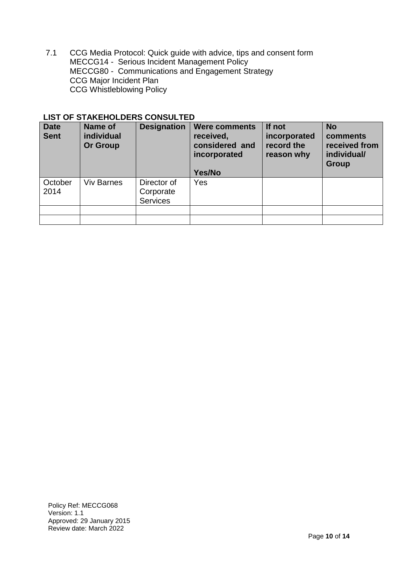7.1 CCG Media Protocol: Quick guide with advice, tips and consent form MECCG14 - [Serious Incident Management Policy](http://nww.swessex.nhs.uk/_uploads/documents/policy-documents/serious-untoward-incident-reporting-management-policy.pdf) MECCG80 - [Communications and Engagement Strategy](http://www.see.nhs.uk/content/file/Document%20Library/Comms%20and%20engagement%20strategy%204%20Feb%202010.pdf) CCG [Major Incident Plan](http://nww.swessex.nhs.uk/_uploads/documents/key-documents/public-health/major-incident-plan-see-swe-proposals-oct-11.doc) CCG Whistleblowing Policy

| <b>Date</b><br><b>Sent</b> | LIJI UF JIANLIIULDLNJ UUNJULILD<br>Name of<br>individual<br><b>Or Group</b> | <b>Designation</b>                          | <b>Were comments</b><br>received,<br>considered and<br>incorporated<br>Yes/No | If not<br>incorporated<br>record the<br>reason why | <b>No</b><br>comments<br>received from<br>individual/<br>Group |
|----------------------------|-----------------------------------------------------------------------------|---------------------------------------------|-------------------------------------------------------------------------------|----------------------------------------------------|----------------------------------------------------------------|
| October<br>2014            | <b>Viv Barnes</b>                                                           | Director of<br>Corporate<br><b>Services</b> | <b>Yes</b>                                                                    |                                                    |                                                                |
|                            |                                                                             |                                             |                                                                               |                                                    |                                                                |

## LIST OF STAKEHOLDERS CONSULTED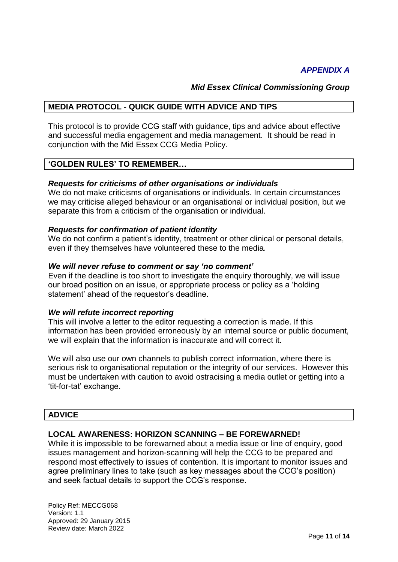*Mid Essex Clinical Commissioning Group*

## **MEDIA PROTOCOL - QUICK GUIDE WITH ADVICE AND TIPS**

This protocol is to provide CCG staff with guidance, tips and advice about effective and successful media engagement and media management. It should be read in conjunction with the Mid Essex CCG Media Policy.

## **'GOLDEN RULES' TO REMEMBER…**

## *Requests for criticisms of other organisations or individuals*

We do not make criticisms of organisations or individuals. In certain circumstances we may criticise alleged behaviour or an organisational or individual position, but we separate this from a criticism of the organisation or individual.

## *Requests for confirmation of patient identity*

We do not confirm a patient's identity, treatment or other clinical or personal details, even if they themselves have volunteered these to the media.

## *We will never refuse to comment or say 'no comment'*

Even if the deadline is too short to investigate the enquiry thoroughly, we will issue our broad position on an issue, or appropriate process or policy as a 'holding statement' ahead of the requestor's deadline.

## *We will refute incorrect reporting*

This will involve a letter to the editor requesting a correction is made. If this information has been provided erroneously by an internal source or public document, we will explain that the information is inaccurate and will correct it.

We will also use our own channels to publish correct information, where there is serious risk to organisational reputation or the integrity of our services. However this must be undertaken with caution to avoid ostracising a media outlet or getting into a 'tit-for-tat' exchange.

## **ADVICE**

## **LOCAL AWARENESS: HORIZON SCANNING – BE FOREWARNED!**

While it is impossible to be forewarned about a media issue or line of enquiry, good issues management and horizon-scanning will help the CCG to be prepared and respond most effectively to issues of contention. It is important to monitor issues and agree preliminary lines to take (such as key messages about the CCG's position) and seek factual details to support the CCG's response.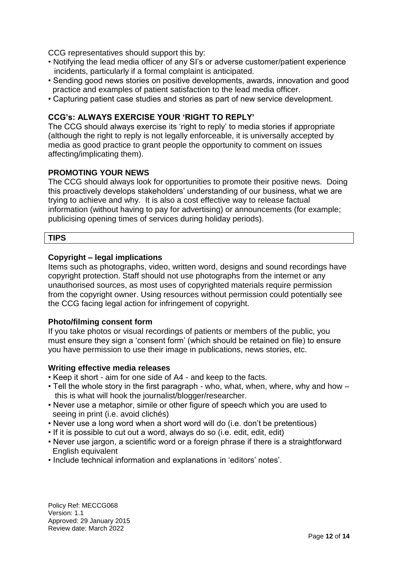CCG representatives should support this by:

- Notifying the lead media officer of any SI's or adverse customer/patient experience incidents, particularly if a formal complaint is anticipated.
- Sending good news stories on positive developments, awards, innovation and good practice and examples of patient satisfaction to the lead media officer.
- Capturing patient case studies and stories as part of new service development.

## **CCG's: ALWAYS EXERCISE YOUR 'RIGHT TO REPLY'**

The CCG should always exercise its 'right to reply' to media stories if appropriate (although the right to reply is not legally enforceable, it is universally accepted by media as good practice to grant people the opportunity to comment on issues affecting/implicating them).

## **PROMOTING YOUR NEWS**

The CCG should always look for opportunities to promote their positive news. Doing this proactively develops stakeholders' understanding of our business, what we are trying to achieve and why. It is also a cost effective way to release factual information (without having to pay for advertising) or announcements (for example; publicising opening times of services during holiday periods).

## **TIPS**

## **Copyright – legal implications**

Items such as photographs, video, written word, designs and sound recordings have copyright protection. Staff should not use photographs from the internet or any unauthorised sources, as most uses of copyrighted materials require permission from the copyright owner. Using resources without permission could potentially see the CCG facing legal action for infringement of copyright.

## **Photo/filming consent form**

If you take photos or visual recordings of patients or members of the public, you must ensure they sign a 'consent form' (which should be retained on file) to ensure you have permission to use their image in publications, news stories, etc.

#### **Writing effective media releases**

- Keep it short aim for one side of A4 and keep to the facts.
- Tell the whole story in the first paragraph who, what, when, where, why and how this is what will hook the journalist/blogger/researcher.
- Never use a metaphor, simile or other figure of speech which you are used to seeing in print (i.e. avoid clichés)
- Never use a long word when a short word will do (i.e. don't be pretentious)
- If it is possible to cut out a word, always do so (i.e. edit, edit, edit)
- Never use jargon, a scientific word or a foreign phrase if there is a straightforward English equivalent
- Include technical information and explanations in 'editors' notes'.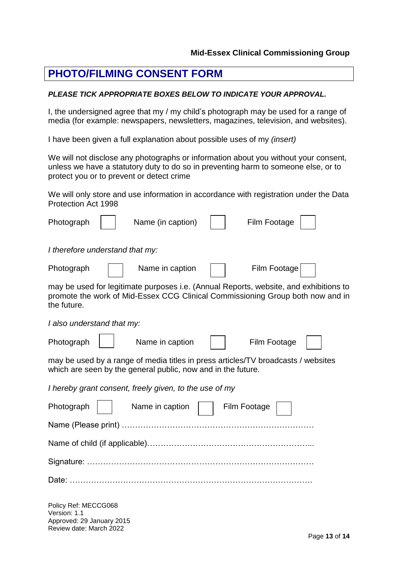# **PHOTO/FILMING CONSENT FORM**

Review date: March 2022

#### *PLEASE TICK APPROPRIATE BOXES BELOW TO INDICATE YOUR APPROVAL.*

I, the undersigned agree that my / my child's photograph may be used for a range of media (for example: newspapers, newsletters, magazines, television, and websites).

I have been given a full explanation about possible uses of my *(insert)*

We will not disclose any photographs or information about you without your consent, unless we have a statutory duty to do so in preventing harm to someone else, or to protect you or to prevent or detect crime

We will only store and use information in accordance with registration under the Data  $P_{\text{net}}$  1998

| Protection Act 1998                                                                                                                                                                    |                   |              |  |
|----------------------------------------------------------------------------------------------------------------------------------------------------------------------------------------|-------------------|--------------|--|
| Photograph                                                                                                                                                                             | Name (in caption) | Film Footage |  |
| I therefore understand that my:                                                                                                                                                        |                   |              |  |
| Photograph                                                                                                                                                                             | Name in caption   | Film Footage |  |
| may be used for legitimate purposes i.e. (Annual Reports, website, and exhibitions to<br>promote the work of Mid-Essex CCG Clinical Commissioning Group both now and in<br>the future. |                   |              |  |
| I also understand that my:                                                                                                                                                             |                   |              |  |
| Photograph                                                                                                                                                                             | Name in caption   | Film Footage |  |
| may be used by a range of media titles in press articles/TV broadcasts / websites<br>which are seen by the general public, now and in the future.                                      |                   |              |  |
| I hereby grant consent, freely given, to the use of my                                                                                                                                 |                   |              |  |
| Photograph                                                                                                                                                                             | Name in caption   | Film Footage |  |
|                                                                                                                                                                                        |                   |              |  |
|                                                                                                                                                                                        |                   |              |  |
|                                                                                                                                                                                        |                   |              |  |
|                                                                                                                                                                                        |                   |              |  |
| Policy Ref: MECCG068<br>Version: 1.1<br>Approved: 29 January 2015                                                                                                                      |                   |              |  |